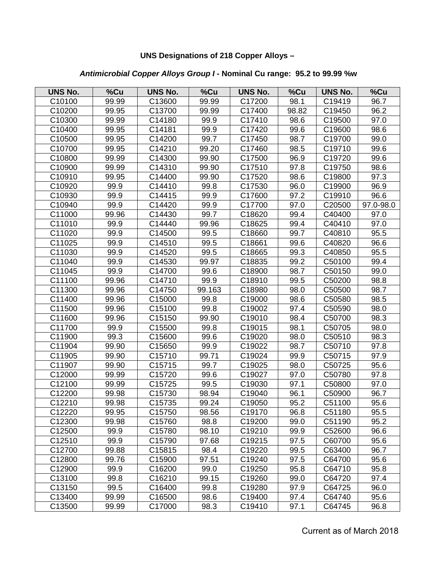## **UNS Designations of 218 Copper Alloys –**

## *Antimicrobial Copper Alloys Group I -* **Nominal Cu range: 95.2 to 99.99 %w**

| <b>UNS No.</b>     | $%$ Cu | <b>UNS No.</b>     | %Cu    | <b>UNS No.</b> | %Cu   | <b>UNS No.</b> | %Cu       |
|--------------------|--------|--------------------|--------|----------------|-------|----------------|-----------|
| C10100             | 99.99  | C13600             | 99.99  | C17200         | 98.1  | C19419         | 96.7      |
| C10200             | 99.95  | C13700             | 99.99  | C17400         | 98.82 | C19450         | 96.2      |
| C10300             | 99.99  | C14180             | 99.9   | C17410         | 98.6  | C19500         | 97.0      |
| C10400             | 99.95  | C14181             | 99.9   | C17420         | 99.6  | C19600         | 98.6      |
| C10500             | 99.95  | C14200             | 99.7   | C17450         | 98.7  | C19700         | 99.0      |
| C10700             | 99.95  | C14210             | 99.20  | C17460         | 98.5  | C19710         | 99.6      |
| C10800             | 99.99  | C14300             | 99.90  | C17500         | 96.9  | C19720         | 99.6      |
| C10900             | 99.99  | C14310             | 99.90  | C17510         | 97.8  | C19750         | 98.6      |
| C10910             | 99.95  | C14400             | 99.90  | C17520         | 98.6  | C19800         | 97.3      |
| C10920             | 99.9   | C14410             | 99.8   | C17530         | 96.0  | C19900         | 96.9      |
| C10930             | 99.9   | C14415             | 99.9   | C17600         | 97.2  | C19910         | 96.6      |
| C10940             | 99.9   | C14420             | 99.9   | C17700         | 97.0  | C20500         | 97.0-98.0 |
| C11000             | 99.96  | C14430             | 99.7   | C18620         | 99.4  | C40400         | 97.0      |
| C11010             | 99.9   | C14440             | 99.96  | C18625         | 99.4  | C40410         | 97.0      |
| C11020             | 99.9   | C14500             | 99.5   | C18660         | 99.7  | C40810         | 95.5      |
| C11025             | 99.9   | C14510             | 99.5   | C18661         | 99.6  | C40820         | 96.6      |
| C11030             | 99.9   | C14520             | 99.5   | C18665         | 99.3  | C40850         | 95.5      |
| C11040             | 99.9   | C14530             | 99.97  | C18835         | 99.2  | C50100         | 99.4      |
| C11045             | 99.9   | C14700             | 99.6   | C18900         | 98.7  | C50150         | 99.0      |
| C11100             | 99.96  | C14710             | 99.9   | C18910         | 99.5  | C50200         | 98.8      |
| C11300             | 99.96  | C14750             | 99.163 | C18980         | 98.0  | C50500         | 98.7      |
| C11400             | 99.96  | C15000             | 99.8   | C19000         | 98.6  | C50580         | 98.5      |
| C11500             | 99.96  | C15100             | 99.8   | C19002         | 97.4  | C50590         | 98.0      |
| C11600             | 99.96  | C15150             | 99.90  | C19010         | 98.4  | C50700         | 98.3      |
| C11700             | 99.9   | C15500             | 99.8   | C19015         | 98.1  | C50705         | 98.0      |
| C11900             | 99.3   | C15600             | 99.6   | C19020         | 98.0  | C50510         | 98.3      |
| C11904             | 99.90  | C15650             | 99.9   | C19022         | 98.7  | C50710         | 97.8      |
| C11905             | 99.90  | C15710             | 99.71  | C19024         | 99.9  | C50715         | 97.9      |
| C11907             | 99.90  | C15715             | 99.7   | C19025         | 98.0  | C50725         | 95.6      |
| C12000             | 99.99  | C15720             | 99.6   | C19027         | 97.0  | C50780         | 97.8      |
| C12100             | 99.99  | C15725             | 99.5   | C19030         | 97.1  | C50800         | 97.0      |
| C12200             | 99.98  | C15730             | 98.94  | C19040         | 96.1  | C50900         | 96.7      |
| C12210             | 99.98  | C15735             | 99.24  | C19050         | 95.2  | C51100         | 95.6      |
| C12220             | 99.95  | C <sub>15750</sub> | 98.56  | C19170         | 96.8  | C51180         | 95.5      |
| C12300             | 99.98  | C15760             | 98.8   | C19200         | 99.0  | C51190         | 95.2      |
| C12500             | 99.9   | C15780             | 98.10  | C19210         | 99.9  | C52600         | 96.6      |
| C12510             | 99.9   | C15790             | 97.68  | C19215         | 97.5  | C60700         | 95.6      |
| C12700             | 99.88  | C15815             | 98.4   | C19220         | 99.5  | C63400         | 96.7      |
| C <sub>12800</sub> | 99.76  | C15900             | 97.51  | C19240         | 97.5  | C64700         | 95.6      |
| C12900             | 99.9   | C16200             | 99.0   | C19250         | 95.8  | C64710         | 95.8      |
| C13100             | 99.8   | C16210             | 99.15  | C19260         | 99.0  | C64720         | 97.4      |
| C13150             | 99.5   | C16400             | 99.8   | C19280         | 97.9  | C64725         | 96.0      |
| C13400             | 99.99  | C16500             | 98.6   | C19400         | 97.4  | C64740         | 95.6      |
| C13500             | 99.99  | C17000             | 98.3   | C19410         | 97.1  | C64745         | 96.8      |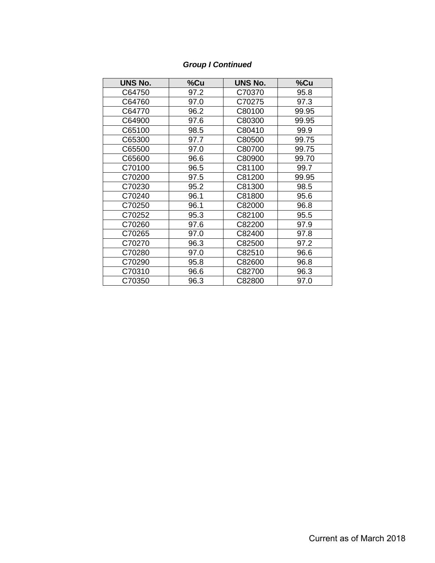# *Group I Continued*

| <b>UNS No.</b> | %Cu  | <b>UNS No.</b> | %Cu   |
|----------------|------|----------------|-------|
| C64750         | 97.2 | C70370         | 95.8  |
| C64760         | 97.0 | C70275         | 97.3  |
| C64770         | 96.2 | C80100         | 99.95 |
| C64900         | 97.6 | C80300         | 99.95 |
| C65100         | 98.5 | C80410         | 99.9  |
| C65300         | 97.7 | C80500         | 99.75 |
| C65500         | 97.0 | C80700         | 99.75 |
| C65600         | 96.6 | C80900         | 99.70 |
| C70100         | 96.5 | C81100         | 99.7  |
| C70200         | 97.5 | C81200         | 99.95 |
| C70230         | 95.2 | C81300         | 98.5  |
| C70240         | 96.1 | C81800         | 95.6  |
| C70250         | 96.1 | C82000         | 96.8  |
| C70252         | 95.3 | C82100         | 95.5  |
| C70260         | 97.6 | C82200         | 97.9  |
| C70265         | 97.0 | C82400         | 97.8  |
| C70270         | 96.3 | C82500         | 97.2  |
| C70280         | 97.0 | C82510         | 96.6  |
| C70290         | 95.8 | C82600         | 96.8  |
| C70310         | 96.6 | C82700         | 96.3  |
| C70350         | 96.3 | C82800         | 97.0  |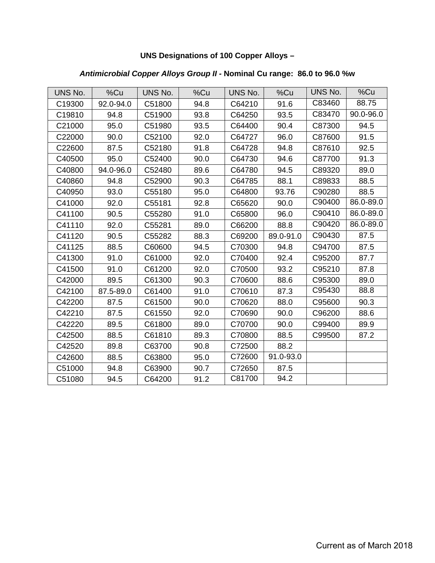## **UNS Designations of 100 Copper Alloys –**

## *Antimicrobial Copper Alloys Group II -* **Nominal Cu range: 86.0 to 96.0 %w**

| UNS No. | %Cu       | UNS No. | %Cu  | UNS No. | %Cu       | UNS No. | %Cu       |
|---------|-----------|---------|------|---------|-----------|---------|-----------|
| C19300  | 92.0-94.0 | C51800  | 94.8 | C64210  | 91.6      | C83460  | 88.75     |
| C19810  | 94.8      | C51900  | 93.8 | C64250  | 93.5      | C83470  | 90.0-96.0 |
| C21000  | 95.0      | C51980  | 93.5 | C64400  | 90.4      | C87300  | 94.5      |
| C22000  | 90.0      | C52100  | 92.0 | C64727  | 96.0      | C87600  | 91.5      |
| C22600  | 87.5      | C52180  | 91.8 | C64728  | 94.8      | C87610  | 92.5      |
| C40500  | 95.0      | C52400  | 90.0 | C64730  | 94.6      | C87700  | 91.3      |
| C40800  | 94.0-96.0 | C52480  | 89.6 | C64780  | 94.5      | C89320  | 89.0      |
| C40860  | 94.8      | C52900  | 90.3 | C64785  | 88.1      | C89833  | 88.5      |
| C40950  | 93.0      | C55180  | 95.0 | C64800  | 93.76     | C90280  | 88.5      |
| C41000  | 92.0      | C55181  | 92.8 | C65620  | 90.0      | C90400  | 86.0-89.0 |
| C41100  | 90.5      | C55280  | 91.0 | C65800  | 96.0      | C90410  | 86.0-89.0 |
| C41110  | 92.0      | C55281  | 89.0 | C66200  | 88.8      | C90420  | 86.0-89.0 |
| C41120  | 90.5      | C55282  | 88.3 | C69200  | 89.0-91.0 | C90430  | 87.5      |
| C41125  | 88.5      | C60600  | 94.5 | C70300  | 94.8      | C94700  | 87.5      |
| C41300  | 91.0      | C61000  | 92.0 | C70400  | 92.4      | C95200  | 87.7      |
| C41500  | 91.0      | C61200  | 92.0 | C70500  | 93.2      | C95210  | 87.8      |
| C42000  | 89.5      | C61300  | 90.3 | C70600  | 88.6      | C95300  | 89.0      |
| C42100  | 87.5-89.0 | C61400  | 91.0 | C70610  | 87.3      | C95430  | 88.8      |
| C42200  | 87.5      | C61500  | 90.0 | C70620  | 88.0      | C95600  | 90.3      |
| C42210  | 87.5      | C61550  | 92.0 | C70690  | 90.0      | C96200  | 88.6      |
| C42220  | 89.5      | C61800  | 89.0 | C70700  | 90.0      | C99400  | 89.9      |
| C42500  | 88.5      | C61810  | 89.3 | C70800  | 88.5      | C99500  | 87.2      |
| C42520  | 89.8      | C63700  | 90.8 | C72500  | 88.2      |         |           |
| C42600  | 88.5      | C63800  | 95.0 | C72600  | 91.0-93.0 |         |           |
| C51000  | 94.8      | C63900  | 90.7 | C72650  | 87.5      |         |           |
| C51080  | 94.5      | C64200  | 91.2 | C81700  | 94.2      |         |           |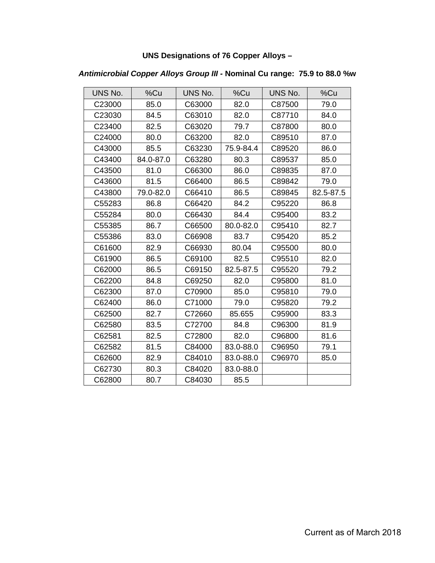## **UNS Designations of 76 Copper Alloys –**

### *Antimicrobial Copper Alloys Group III -* **Nominal Cu range: 75.9 to 88.0 %w**

| UNS No.            | %Cu       | UNS No. | %Cu       | UNS No. | %Cu       |
|--------------------|-----------|---------|-----------|---------|-----------|
| C <sub>23000</sub> | 85.0      | C63000  | 82.0      | C87500  | 79.0      |
| C23030             | 84.5      | C63010  | 82.0      | C87710  | 84.0      |
| C23400             | 82.5      | C63020  | 79.7      | C87800  | 80.0      |
| C24000             | 80.0      | C63200  | 82.0      | C89510  | 87.0      |
| C43000             | 85.5      | C63230  | 75.9-84.4 | C89520  | 86.0      |
| C43400             | 84.0-87.0 | C63280  | 80.3      | C89537  | 85.0      |
| C43500             | 81.0      | C66300  | 86.0      | C89835  | 87.0      |
| C43600             | 81.5      | C66400  | 86.5      | C89842  | 79.0      |
| C43800             | 79.0-82.0 | C66410  | 86.5      | C89845  | 82.5-87.5 |
| C55283             | 86.8      | C66420  | 84.2      | C95220  | 86.8      |
| C55284             | 80.0      | C66430  | 84.4      | C95400  | 83.2      |
| C55385             | 86.7      | C66500  | 80.0-82.0 | C95410  | 82.7      |
| C55386             | 83.0      | C66908  | 83.7      | C95420  | 85.2      |
| C61600             | 82.9      | C66930  | 80.04     | C95500  | 80.0      |
| C61900             | 86.5      | C69100  | 82.5      | C95510  | 82.0      |
| C62000             | 86.5      | C69150  | 82.5-87.5 | C95520  | 79.2      |
| C62200             | 84.8      | C69250  | 82.0      | C95800  | 81.0      |
| C62300             | 87.0      | C70900  | 85.0      | C95810  | 79.0      |
| C62400             | 86.0      | C71000  | 79.0      | C95820  | 79.2      |
| C62500             | 82.7      | C72660  | 85.655    | C95900  | 83.3      |
| C62580             | 83.5      | C72700  | 84.8      | C96300  | 81.9      |
| C62581             | 82.5      | C72800  | 82.0      | C96800  | 81.6      |
| C62582             | 81.5      | C84000  | 83.0-88.0 | C96950  | 79.1      |
| C62600             | 82.9      | C84010  | 83.0-88.0 | C96970  | 85.0      |
| C62730             | 80.3      | C84020  | 83.0-88.0 |         |           |
| C62800             | 80.7      | C84030  | 85.5      |         |           |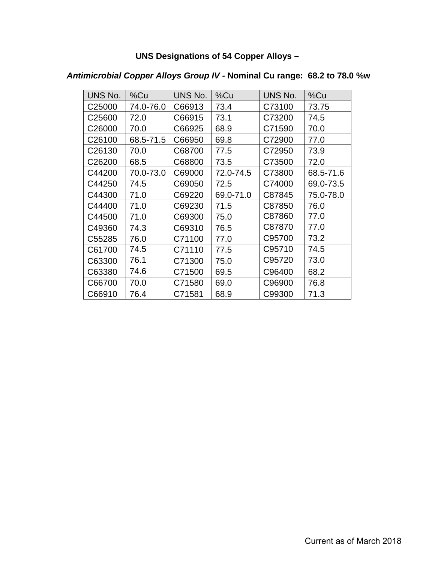# **UNS Designations of 54 Copper Alloys –**

| UNS No.            | %Cu       | UNS No. | %Cu       | UNS No. | %Cu       |
|--------------------|-----------|---------|-----------|---------|-----------|
| C <sub>25000</sub> | 74.0-76.0 | C66913  | 73.4      | C73100  | 73.75     |
| C <sub>25600</sub> | 72.0      | C66915  | 73.1      | C73200  | 74.5      |
| C26000             | 70.0      | C66925  | 68.9      | C71590  | 70.0      |
| C26100             | 68.5-71.5 | C66950  | 69.8      | C72900  | 77.0      |
| C26130             | 70.0      | C68700  | 77.5      | C72950  | 73.9      |
| C <sub>26200</sub> | 68.5      | C68800  | 73.5      | C73500  | 72.0      |
| C44200             | 70.0-73.0 | C69000  | 72.0-74.5 | C73800  | 68.5-71.6 |
| C44250             | 74.5      | C69050  | 72.5      | C74000  | 69.0-73.5 |
| C44300             | 71.0      | C69220  | 69.0-71.0 | C87845  | 75.0-78.0 |
| C44400             | 71.0      | C69230  | 71.5      | C87850  | 76.0      |
| C44500             | 71.0      | C69300  | 75.0      | C87860  | 77.0      |
| C49360             | 74.3      | C69310  | 76.5      | C87870  | 77.0      |
| C55285             | 76.0      | C71100  | 77.0      | C95700  | 73.2      |
| C61700             | 74.5      | C71110  | 77.5      | C95710  | 74.5      |
| C63300             | 76.1      | C71300  | 75.0      | C95720  | 73.0      |
| C63380             | 74.6      | C71500  | 69.5      | C96400  | 68.2      |
| C66700             | 70.0      | C71580  | 69.0      | C96900  | 76.8      |
| C66910             | 76.4      | C71581  | 68.9      | C99300  | 71.3      |

# *Antimicrobial Copper Alloys Group IV -* **Nominal Cu range: 68.2 to 78.0 %w**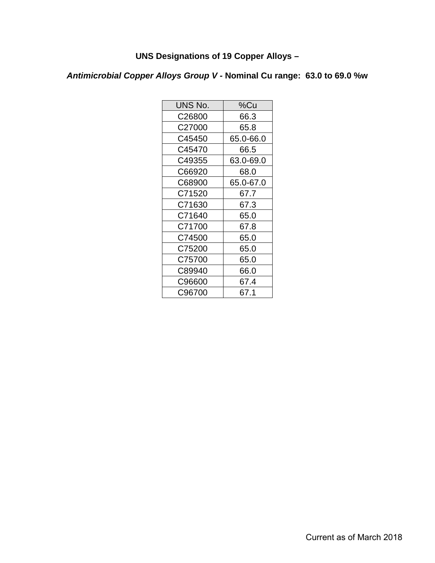# **UNS Designations of 19 Copper Alloys –**

*Antimicrobial Copper Alloys Group V -* **Nominal Cu range: 63.0 to 69.0 %w**

| UNS No. | %Cu       |
|---------|-----------|
| C26800  | 66.3      |
| C27000  | 65.8      |
| C45450  | 65.0-66.0 |
| C45470  | 66.5      |
| C49355  | 63.0-69.0 |
| C66920  | 68.0      |
| C68900  | 65.0-67.0 |
| C71520  | 67.7      |
| C71630  | 67.3      |
| C71640  | 65.0      |
| C71700  | 67.8      |
| C74500  | 65.0      |
| C75200  | 65.0      |
| C75700  | 65.0      |
| C89940  | 66.0      |
| C96600  | 67.4      |
| C96700  | 67.1      |